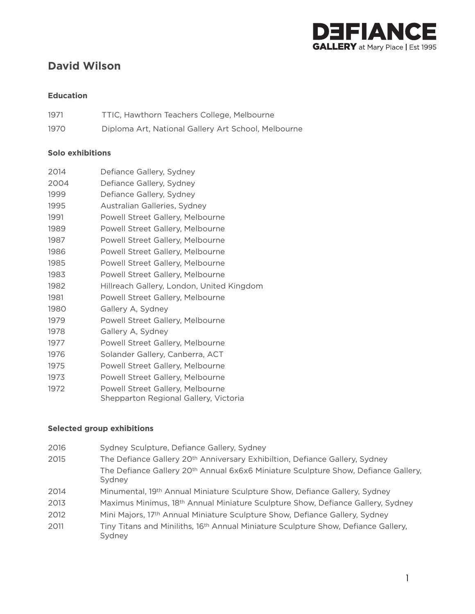

# **David Wilson**

# **Education**

| 1971 | TTIC, Hawthorn Teachers College, Melbourne          |
|------|-----------------------------------------------------|
| 1970 | Diploma Art, National Gallery Art School, Melbourne |

# **Solo exhibitions**

| 2014 | Defiance Gallery, Sydney                                                  |
|------|---------------------------------------------------------------------------|
| 2004 | Defiance Gallery, Sydney                                                  |
| 1999 | Defiance Gallery, Sydney                                                  |
| 1995 | Australian Galleries, Sydney                                              |
| 1991 | Powell Street Gallery, Melbourne                                          |
| 1989 | Powell Street Gallery, Melbourne                                          |
| 1987 | Powell Street Gallery, Melbourne                                          |
| 1986 | Powell Street Gallery, Melbourne                                          |
| 1985 | Powell Street Gallery, Melbourne                                          |
| 1983 | Powell Street Gallery, Melbourne                                          |
| 1982 | Hillreach Gallery, London, United Kingdom                                 |
| 1981 | Powell Street Gallery, Melbourne                                          |
| 1980 | Gallery A, Sydney                                                         |
| 1979 | Powell Street Gallery, Melbourne                                          |
| 1978 | Gallery A, Sydney                                                         |
| 1977 | Powell Street Gallery, Melbourne                                          |
| 1976 | Solander Gallery, Canberra, ACT                                           |
| 1975 | Powell Street Gallery, Melbourne                                          |
| 1973 | Powell Street Gallery, Melbourne                                          |
| 1972 | Powell Street Gallery, Melbourne<br>Shepparton Regional Gallery, Victoria |

#### **Selected group exhibitions**

- 2016 Sydney Sculpture, Defiance Gallery, Sydney
- 2015 The Defiance Gallery 20<sup>th</sup> Anniversary Exhibiltion, Defiance Gallery, Sydney The Defiance Gallery 20th Annual 6x6x6 Miniature Sculpture Show, Defiance Gallery, Sydney
- 2014 Minumental, 19th Annual Miniature Sculpture Show, Defiance Gallery, Sydney
- Maximus Minimus, 18th Annual Miniature Sculpture Show, Defiance Gallery, Sydney
- 2012 Mini Majors, 17<sup>th</sup> Annual Miniature Sculpture Show, Defiance Gallery, Sydney
- 2011 Tiny Titans and Miniliths, 16<sup>th</sup> Annual Miniature Sculpture Show, Defiance Gallery, Sydney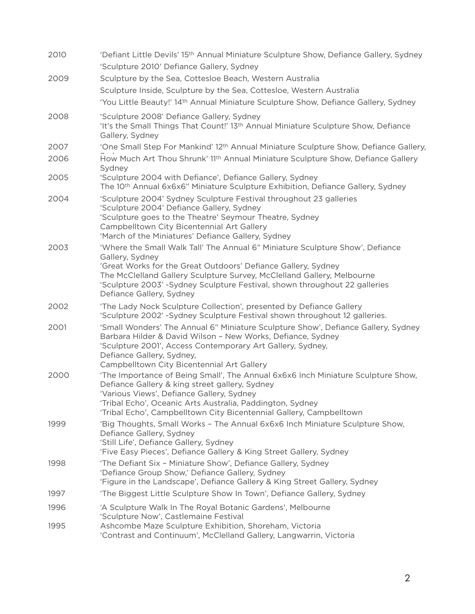| 2010 | 'Defiant Little Devils' 15th Annual Miniature Sculpture Show, Defiance Gallery, Sydney                                                                                                                                                                                                                                                                |
|------|-------------------------------------------------------------------------------------------------------------------------------------------------------------------------------------------------------------------------------------------------------------------------------------------------------------------------------------------------------|
|      | 'Sculpture 2010' Defiance Gallery, Sydney                                                                                                                                                                                                                                                                                                             |
| 2009 | Sculpture by the Sea, Cottesloe Beach, Western Australia                                                                                                                                                                                                                                                                                              |
|      | Sculpture Inside, Sculpture by the Sea, Cottesloe, Western Australia                                                                                                                                                                                                                                                                                  |
|      | 'You Little Beauty!' 14th Annual Miniature Sculpture Show, Defiance Gallery, Sydney                                                                                                                                                                                                                                                                   |
| 2008 | 'Sculpture 2008' Defiance Gallery, Sydney<br>'It's the Small Things That Count!' 13th Annual Miniature Sculpture Show, Defiance<br>Gallery, Sydney                                                                                                                                                                                                    |
| 2007 | 'One Small Step For Mankind' 12 <sup>th</sup> Annual Miniature Sculpture Show, Defiance Gallery,                                                                                                                                                                                                                                                      |
| 2006 | How Much Art Thou Shrunk' 11 <sup>th</sup> Annual Miniature Sculpture Show, Defiance Gallery<br>Sydney                                                                                                                                                                                                                                                |
| 2005 | 'Sculpture 2004 with Defiance', Defiance Gallery, Sydney<br>The 10 <sup>th</sup> Annual 6x6x6" Miniature Sculpture Exhibition, Defiance Gallery, Sydney                                                                                                                                                                                               |
| 2004 | 'Sculpture 2004' Sydney Sculpture Festival throughout 23 galleries<br>'Sculpture 2004' Defiance Gallery, Sydney<br>'Sculpture goes to the Theatre' Seymour Theatre, Sydney<br>Campbelltown City Bicentennial Art Gallery<br>'March of the Miniatures' Defiance Gallery, Sydney                                                                        |
| 2003 | 'Where the Small Walk Tall' The Annual 6" Miniature Sculpture Show', Defiance<br>Gallery, Sydney<br>'Great Works for the Great Outdoors' Defiance Gallery, Sydney<br>The McClelland Gallery Sculpture Survey, McClelland Gallery, Melbourne<br>'Sculpture 2003' -Sydney Sculpture Festival, shown throughout 22 galleries<br>Defiance Gallery, Sydney |
| 2002 | 'The Lady Nock Sculpture Collection', presented by Defiance Gallery<br>'Sculpture 2002' -Sydney Sculpture Festival shown throughout 12 galleries.                                                                                                                                                                                                     |
| 2001 | 'Small Wonders' The Annual 6" Miniature Sculpture Show', Defiance Gallery, Sydney<br>Barbara Hilder & David Wilson - New Works, Defiance, Sydney<br>'Sculpture 2001', Access Contemporary Art Gallery, Sydney,<br>Defiance Gallery, Sydney,<br>Campbelltown City Bicentennial Art Gallery                                                             |
| 2000 | 'The Importance of Being Small', The Annual 6x6x6 Inch Miniature Sculpture Show,<br>Defiance Gallery & king street gallery, Sydney<br>'Various Views', Defiance Gallery, Sydney<br>'Tribal Echo', Oceanic Arts Australia, Paddington, Sydney<br>'Tribal Echo', Campbelltown City Bicentennial Gallery, Campbelltown                                   |
| 1999 | 'Big Thoughts, Small Works - The Annual 6x6x6 Inch Miniature Sculpture Show,<br>Defiance Gallery, Sydney<br>'Still Life', Defiance Gallery, Sydney<br>'Five Easy Pieces', Defiance Gallery & King Street Gallery, Sydney                                                                                                                              |
| 1998 | 'The Defiant Six - Miniature Show', Defiance Gallery, Sydney<br>'Defiance Group Show,' Defiance Gallery, Sydney<br>'Figure in the Landscape', Defiance Gallery & King Street Gallery, Sydney                                                                                                                                                          |
| 1997 | 'The Biggest Little Sculpture Show In Town', Defiance Gallery, Sydney                                                                                                                                                                                                                                                                                 |
| 1996 | 'A Sculpture Walk In The Royal Botanic Gardens', Melbourne<br>'Sculpture Now', Castlemaine Festival                                                                                                                                                                                                                                                   |
| 1995 | Ashcombe Maze Sculpture Exhibition, Shoreham, Victoria<br>'Contrast and Continuum', McClelland Gallery, Langwarrin, Victoria                                                                                                                                                                                                                          |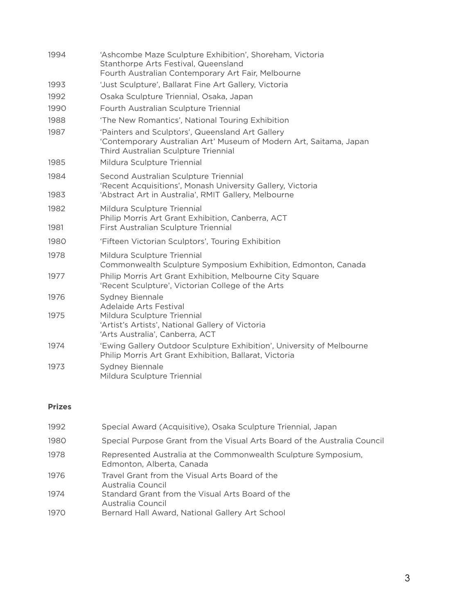| 1994 | 'Ashcombe Maze Sculpture Exhibition', Shoreham, Victoria<br>Stanthorpe Arts Festival, Queensland<br>Fourth Australian Contemporary Art Fair, Melbourne         |
|------|----------------------------------------------------------------------------------------------------------------------------------------------------------------|
| 1993 | 'Just Sculpture', Ballarat Fine Art Gallery, Victoria                                                                                                          |
| 1992 | Osaka Sculpture Triennial, Osaka, Japan                                                                                                                        |
| 1990 | Fourth Australian Sculpture Triennial                                                                                                                          |
| 1988 | 'The New Romantics', National Touring Exhibition                                                                                                               |
| 1987 | 'Painters and Sculptors', Queensland Art Gallery<br>'Contemporary Australian Art' Museum of Modern Art, Saitama, Japan<br>Third Australian Sculpture Triennial |
| 1985 | Mildura Sculpture Triennial                                                                                                                                    |
| 1984 | Second Australian Sculpture Triennial<br>'Recent Acquisitions', Monash University Gallery, Victoria                                                            |
| 1983 | 'Abstract Art in Australia', RMIT Gallery, Melbourne                                                                                                           |
| 1982 | Mildura Sculpture Triennial<br>Philip Morris Art Grant Exhibition, Canberra, ACT                                                                               |
| 1981 | First Australian Sculpture Triennial                                                                                                                           |
| 1980 | 'Fifteen Victorian Sculptors', Touring Exhibition                                                                                                              |
| 1978 | Mildura Sculpture Triennial<br>Commonwealth Sculpture Symposium Exhibition, Edmonton, Canada                                                                   |
| 1977 | Philip Morris Art Grant Exhibition, Melbourne City Square<br>'Recent Sculpture', Victorian College of the Arts                                                 |
| 1976 | <b>Sydney Biennale</b><br>Adelaide Arts Festival                                                                                                               |
| 1975 | Mildura Sculpture Triennial<br>'Artist's Artists', National Gallery of Victoria<br>'Arts Australia', Canberra, ACT                                             |
| 1974 | 'Ewing Gallery Outdoor Sculpture Exhibition', University of Melbourne<br>Philip Morris Art Grant Exhibition, Ballarat, Victoria                                |
| 1973 | <b>Sydney Biennale</b><br>Mildura Sculpture Triennial                                                                                                          |

# **Prizes**

| 1992 | Special Award (Acquisitive), Osaka Sculpture Triennial, Japan                               |
|------|---------------------------------------------------------------------------------------------|
| 1980 | Special Purpose Grant from the Visual Arts Board of the Australia Council                   |
| 1978 | Represented Australia at the Commonwealth Sculpture Symposium,<br>Edmonton, Alberta, Canada |
| 1976 | Travel Grant from the Visual Arts Board of the<br>Australia Council                         |
| 1974 | Standard Grant from the Visual Arts Board of the<br>Australia Council                       |
| 1970 | Bernard Hall Award, National Gallery Art School                                             |
|      |                                                                                             |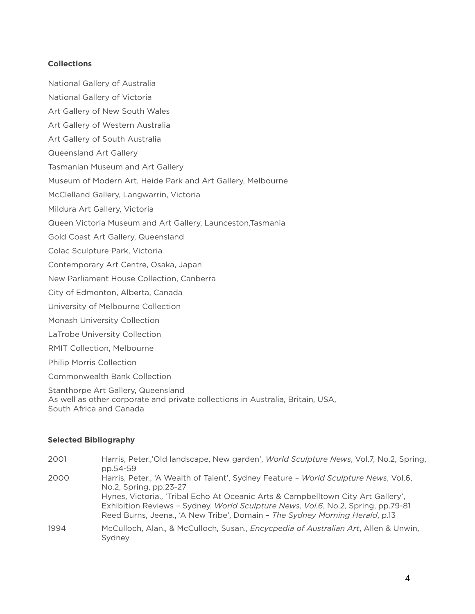# **Collections**

- National Gallery of Australia
- National Gallery of Victoria
- Art Gallery of New South Wales
- Art Gallery of Western Australia
- Art Gallery of South Australia
- Queensland Art Gallery
- Tasmanian Museum and Art Gallery
- Museum of Modern Art, Heide Park and Art Gallery, Melbourne
- McClelland Gallery, Langwarrin, Victoria
- Mildura Art Gallery, Victoria
- Queen Victoria Museum and Art Gallery, Launceston,Tasmania
- Gold Coast Art Gallery, Queensland
- Colac Sculpture Park, Victoria
- Contemporary Art Centre, Osaka, Japan
- New Parliament House Collection, Canberra
- City of Edmonton, Alberta, Canada
- University of Melbourne Collection
- Monash University Collection
- LaTrobe University Collection
- RMIT Collection, Melbourne
- Philip Morris Collection
- Commonwealth Bank Collection

Stanthorpe Art Gallery, Queensland As well as other corporate and private collections in Australia, Britain, USA, South Africa and Canada

#### **Selected Bibliography**

| 2001 | Harris, Peter.,'Old landscape, New garden', World Sculpture News, Vol.7, No.2, Spring,<br>pp.54-59                                                                                                                                                                                                                                                                   |
|------|----------------------------------------------------------------------------------------------------------------------------------------------------------------------------------------------------------------------------------------------------------------------------------------------------------------------------------------------------------------------|
| 2000 | Harris, Peter., 'A Wealth of Talent', Sydney Feature - World Sculpture News, Vol.6,<br>No.2, Spring, pp.23-27<br>Hynes, Victoria., 'Tribal Echo At Oceanic Arts & Campbelltown City Art Gallery',<br>Exhibition Reviews - Sydney, World Sculpture News, Vol.6, No.2, Spring, pp.79-81<br>Reed Burns, Jeena., 'A New Tribe', Domain - The Sydney Morning Herald, p.13 |
| 1994 | McCulloch, Alan., & McCulloch, Susan., <i>Encycpedia of Australian Art</i> , Allen & Unwin,<br>Sydney                                                                                                                                                                                                                                                                |